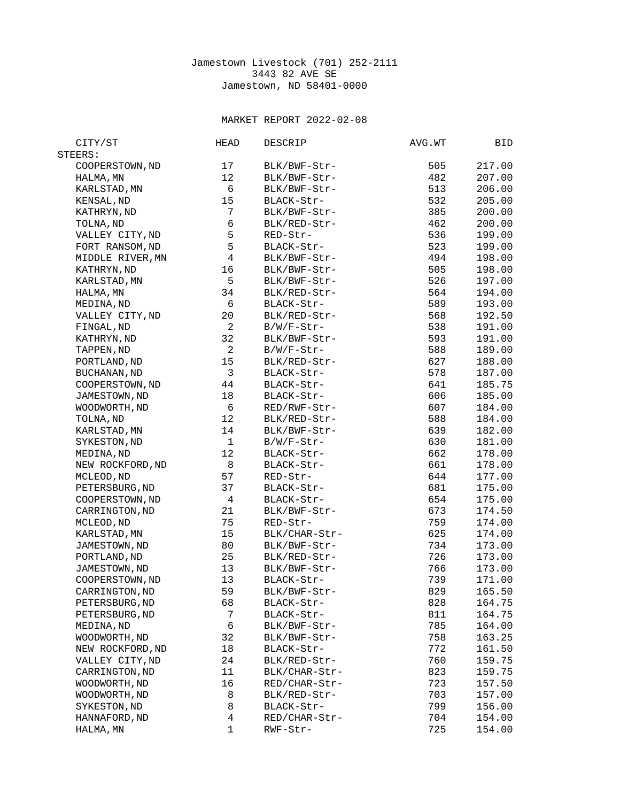## Jamestown Livestock (701) 252-2111 3443 82 AVE SE Jamestown, ND 58401-0000

## MARKET REPORT 2022-02-08

| CITY/ST                     | <b>HEAD</b>              | <b>DESCRIP</b> | AVG.WT | BID              |
|-----------------------------|--------------------------|----------------|--------|------------------|
| STEERS:                     |                          |                |        |                  |
| COOPERSTOWN, ND             | 17                       | BLK/BWF-Str-   | 505    | 217.00           |
| HALMA, MN                   | 12                       | BLK/BWF-Str-   | 482    | 207.00           |
| KARLSTAD, MN                | 6                        | BLK/BWF-Str-   | 513    | 206.00           |
| KENSAL, ND                  | 15                       | BLACK-Str-     | 532    | 205.00           |
| KATHRYN, ND                 | $\overline{7}$           | BLK/BWF-Str-   | 385    | 200.00           |
| TOLNA, ND                   | $\,6$                    | BLK/RED-Str-   | 462    | 200.00           |
| VALLEY CITY, ND             | 5                        | RED-Str-       | 536    | 199.00           |
| FORT RANSOM, ND             | 5                        | BLACK-Str-     | 523    | 199.00           |
| MIDDLE RIVER, MN            | $\overline{\mathcal{L}}$ | BLK/BWF-Str-   | 494    | 198.00           |
| KATHRYN, ND                 | 16                       | BLK/BWF-Str-   | 505    | 198.00           |
| KARLSTAD, MN                | 5                        | BLK/BWF-Str-   | 526    | 197.00           |
| HALMA, MN                   | 34                       | BLK/RED-Str-   | 564    | 194.00           |
| MEDINA, ND                  | 6                        | BLACK-Str-     | 589    | 193.00           |
| VALLEY CITY, ND             | 20                       | BLK/RED-Str-   | 568    | 192.50           |
| FINGAL, ND                  | $\overline{2}$           | B/W/F-Str-     | 538    | 191.00           |
| KATHRYN, ND                 | 32                       | BLK/BWF-Str-   | 593    | 191.00           |
| TAPPEN, ND                  | $\overline{c}$           | B/W/F-Str-     | 588    | 189.00           |
| PORTLAND, ND                | 15                       | BLK/RED-Str-   | 627    | 188.00           |
| <b>BUCHANAN, ND</b>         | 3                        | BLACK-Str-     | 578    | 187.00           |
| COOPERSTOWN, ND             | 44                       | BLACK-Str-     | 641    | 185.75           |
| JAMESTOWN, ND               | 18                       | BLACK-Str-     | 606    | 185.00           |
| WOODWORTH, ND               | 6                        | RED/RWF-Str-   | 607    | 184.00           |
| TOLNA, ND                   | 12                       | BLK/RED-Str-   | 588    | 184.00           |
| KARLSTAD, MN                | 14                       | BLK/BWF-Str-   | 639    | 182.00           |
| SYKESTON, ND                | 1                        | B/W/F-Str-     | 630    | 181.00           |
| MEDINA, ND                  | 12                       | BLACK-Str-     | 662    | 178.00           |
| NEW ROCKFORD, ND            | 8                        | BLACK-Str-     | 661    | 178.00           |
| MCLEOD, ND                  | 57                       | RED-Str-       | 644    | 177.00           |
| PETERSBURG, ND              | 37                       | BLACK-Str-     | 681    | 175.00           |
| COOPERSTOWN, ND             | 4                        | BLACK-Str-     | 654    | 175.00           |
| CARRINGTON, ND              | 21                       | BLK/BWF-Str-   | 673    | 174.50           |
| MCLEOD, ND                  | 75                       | RED-Str-       | 759    | 174.00           |
| KARLSTAD, MN                | 15                       | BLK/CHAR-Str-  | 625    | 174.00           |
| JAMESTOWN, ND               | 80                       | BLK/BWF-Str-   | 734    | 173.00           |
| PORTLAND, ND                | 25                       | BLK/RED-Str-   | 726    | 173.00           |
| JAMESTOWN, ND               | 13                       | BLK/BWF-Str-   | 766    | 173.00           |
| COOPERSTOWN, ND             | 13                       | BLACK-Str-     | 739    | 171.00           |
| CARRINGTON, ND              | 59                       | BLK/BWF-Str-   | 829    | 165.50           |
| PETERSBURG, ND              | 68                       | BLACK-Str-     | 828    | 164.75           |
| PETERSBURG, ND              | 7                        | BLACK-Str-     | 811    | 164.75           |
|                             | 6                        | BLK/BWF-Str-   | 785    |                  |
| MEDINA, ND<br>WOODWORTH, ND | 32                       | BLK/BWF-Str-   | 758    | 164.00<br>163.25 |
|                             | 18                       | BLACK-Str-     | 772    |                  |
| NEW ROCKFORD, ND            | 24                       | BLK/RED-Str-   | 760    | 161.50<br>159.75 |
| VALLEY CITY, ND             |                          |                |        |                  |
| CARRINGTON, ND              | 11                       | BLK/CHAR-Str-  | 823    | 159.75           |
| WOODWORTH, ND               | 16                       | RED/CHAR-Str-  | 723    | 157.50           |
| WOODWORTH, ND               | 8                        | BLK/RED-Str-   | 703    | 157.00           |
| SYKESTON, ND                | 8                        | BLACK-Str-     | 799    | 156.00           |
| HANNAFORD, ND               | 4                        | RED/CHAR-Str-  | 704    | 154.00           |
| HALMA, MN                   | 1                        | RWF-Str-       | 725    | 154.00           |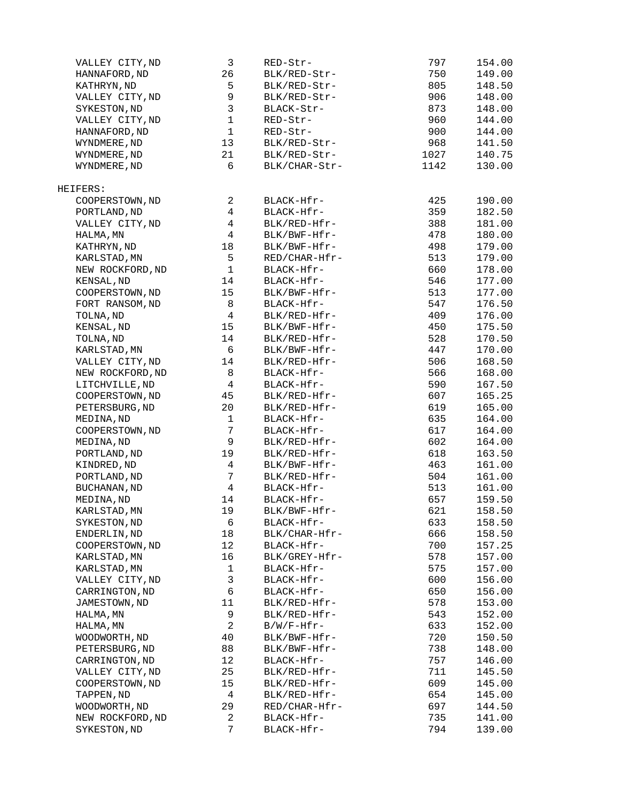| VALLEY CITY, ND     | 3                       | RED-Str-      | 797  | 154.00 |
|---------------------|-------------------------|---------------|------|--------|
| HANNAFORD, ND       | 26                      | BLK/RED-Str-  | 750  | 149.00 |
| KATHRYN, ND         | 5                       | BLK/RED-Str-  | 805  | 148.50 |
| VALLEY CITY, ND     | 9                       | BLK/RED-Str-  | 906  | 148.00 |
| SYKESTON, ND        | 3                       | BLACK-Str-    | 873  | 148.00 |
| VALLEY CITY, ND     | $\mathbf 1$             | RED-Str-      | 960  | 144.00 |
| HANNAFORD, ND       | $\mathbf 1$             | $RED-Str-$    | 900  | 144.00 |
| WYNDMERE, ND        | 13                      | BLK/RED-Str-  | 968  | 141.50 |
| WYNDMERE, ND        | 21                      | BLK/RED-Str-  | 1027 | 140.75 |
| WYNDMERE, ND        | 6                       | BLK/CHAR-Str- | 1142 | 130.00 |
|                     |                         |               |      |        |
| HEIFERS:            |                         |               |      |        |
| COOPERSTOWN, ND     | $\overline{2}$          | BLACK-Hfr-    | 425  | 190.00 |
| PORTLAND, ND        | 4                       | BLACK-Hfr-    | 359  | 182.50 |
| VALLEY CITY, ND     | $\overline{4}$          | BLK/RED-Hfr-  | 388  | 181.00 |
| HALMA, MN           | $\overline{4}$          | BLK/BWF-Hfr-  | 478  | 180.00 |
| KATHRYN, ND         | 18                      | BLK/BWF-Hfr-  | 498  | 179.00 |
| KARLSTAD, MN        | 5                       | RED/CHAR-Hfr- | 513  | 179.00 |
| NEW ROCKFORD, ND    | $\mathbf{1}$            | BLACK-Hfr-    | 660  | 178.00 |
| KENSAL, ND          | 14                      | BLACK-Hfr-    | 546  | 177.00 |
| COOPERSTOWN, ND     | 15                      | BLK/BWF-Hfr-  | 513  | 177.00 |
| FORT RANSOM, ND     | 8                       | BLACK-Hfr-    | 547  | 176.50 |
| TOLNA, ND           | 4                       | BLK/RED-Hfr-  | 409  | 176.00 |
| KENSAL, ND          | 15                      | BLK/BWF-Hfr-  | 450  | 175.50 |
| TOLNA, ND           | 14                      | BLK/RED-Hfr-  | 528  | 170.50 |
| KARLSTAD, MN        | 6                       | BLK/BWF-Hfr-  | 447  | 170.00 |
| VALLEY CITY, ND     | 14                      | BLK/RED-Hfr-  | 506  | 168.50 |
| NEW ROCKFORD, ND    | 8                       | BLACK-Hfr-    | 566  | 168.00 |
| LITCHVILLE, ND      | 4                       | BLACK-Hfr-    | 590  | 167.50 |
| COOPERSTOWN, ND     | 45                      | BLK/RED-Hfr-  | 607  | 165.25 |
| PETERSBURG, ND      | 20                      | BLK/RED-Hfr-  | 619  | 165.00 |
|                     |                         |               | 635  |        |
| MEDINA, ND          | $\mathbf{1}$            | BLACK-Hfr-    |      | 164.00 |
| COOPERSTOWN, ND     | $\overline{7}$          | BLACK-Hfr-    | 617  | 164.00 |
| MEDINA, ND          | 9                       | BLK/RED-Hfr-  | 602  | 164.00 |
| PORTLAND, ND        | 19                      | BLK/RED-Hfr-  | 618  | 163.50 |
| KINDRED, ND         | 4                       | BLK/BWF-Hfr-  | 463  | 161.00 |
| PORTLAND, ND        | $\overline{7}$          | BLK/RED-Hfr-  | 504  | 161.00 |
| <b>BUCHANAN, ND</b> | 4                       | BLACK-Hfr-    | 513  | 161.00 |
| MEDINA, ND          | 14                      | BLACK-Hfr-    | 657  | 159.50 |
| KARLSTAD, MN        | 19                      | BLK/BWF-Hfr-  | 621  | 158.50 |
| SYKESTON, ND        | 6                       | BLACK-Hfr-    | 633  | 158.50 |
| ENDERLIN, ND        | 18                      | BLK/CHAR-Hfr- | 666  | 158.50 |
| COOPERSTOWN, ND     | 12                      | BLACK-Hfr-    | 700  | 157.25 |
| KARLSTAD, MN        | 16                      | BLK/GREY-Hfr- | 578  | 157.00 |
| KARLSTAD, MN        | $\mathbf 1$             | BLACK-Hfr-    | 575  | 157.00 |
| VALLEY CITY, ND     | 3                       | BLACK-Hfr-    | 600  | 156.00 |
| CARRINGTON, ND      | 6                       | BLACK-Hfr-    | 650  | 156.00 |
| JAMESTOWN, ND       | 11                      | BLK/RED-Hfr-  | 578  | 153.00 |
| HALMA, MN           | 9                       | BLK/RED-Hfr-  | 543  | 152.00 |
| HALMA, MN           | $\overline{c}$          | $B/W/F-Hfr$ - | 633  | 152.00 |
| WOODWORTH, ND       | 40                      | BLK/BWF-Hfr-  | 720  | 150.50 |
|                     | 88                      | BLK/BWF-Hfr-  | 738  |        |
| PETERSBURG, ND      | 12                      |               |      | 148.00 |
| CARRINGTON, ND      |                         | BLACK-Hfr-    | 757  | 146.00 |
| VALLEY CITY, ND     | 25                      | BLK/RED-Hfr-  | 711  | 145.50 |
| COOPERSTOWN, ND     | 15                      | BLK/RED-Hfr-  | 609  | 145.00 |
| TAPPEN, ND          | 4                       | BLK/RED-Hfr-  | 654  | 145.00 |
| WOODWORTH, ND       | 29                      | RED/CHAR-Hfr- | 697  | 144.50 |
| NEW ROCKFORD, ND    | $\overline{\mathbf{c}}$ | BLACK-Hfr-    | 735  | 141.00 |
| SYKESTON, ND        | $\overline{7}$          | BLACK-Hfr-    | 794  | 139.00 |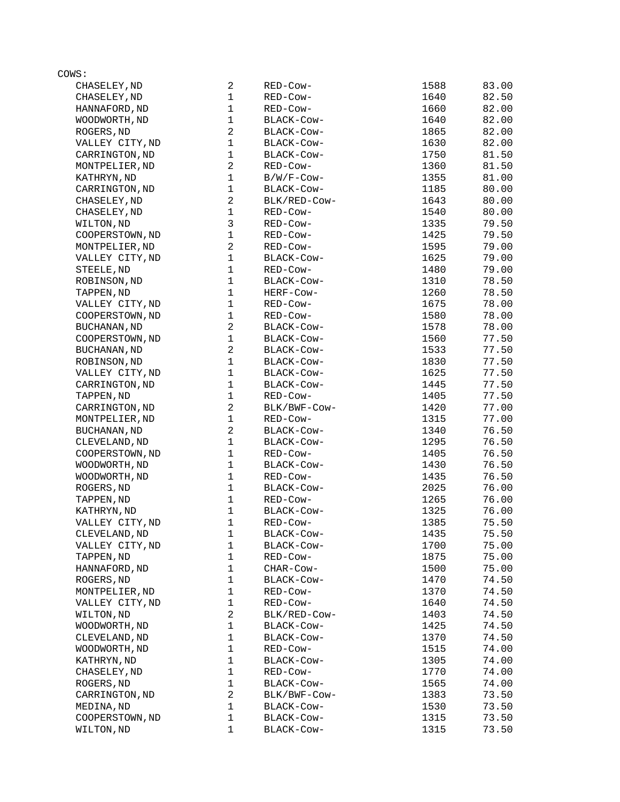| COWS:               |                |              |      |       |
|---------------------|----------------|--------------|------|-------|
| CHASELEY, ND        | 2              | RED-Cow-     | 1588 | 83.00 |
| CHASELEY, ND        | $\mathbf{1}$   | RED-Cow-     | 1640 | 82.50 |
| HANNAFORD, ND       | $\mathbf 1$    | RED-Cow-     | 1660 | 82.00 |
| WOODWORTH, ND       | $\mathbf{1}$   | BLACK-Cow-   | 1640 | 82.00 |
| ROGERS, ND          | $\overline{c}$ | BLACK-COW-   | 1865 | 82.00 |
| VALLEY CITY, ND     | $\mathbf{1}$   | BLACK-COW-   | 1630 | 82.00 |
| CARRINGTON, ND      | $\mathbf 1$    | BLACK-COW-   | 1750 | 81.50 |
| MONTPELIER, ND      | $\overline{c}$ | RED-Cow-     | 1360 | 81.50 |
| KATHRYN, ND         | $\mathbf{1}$   | B/W/F-Cow-   | 1355 | 81.00 |
| CARRINGTON, ND      | $\mathbf{1}$   | BLACK-COW-   | 1185 | 80.00 |
| CHASELEY, ND        | $\overline{c}$ | BLK/RED-COW- | 1643 | 80.00 |
| CHASELEY, ND        | $\mathbf{1}$   | RED-Cow-     | 1540 | 80.00 |
| WILTON, ND          | 3              | RED-Cow-     | 1335 | 79.50 |
| COOPERSTOWN, ND     | $\mathbf 1$    | RED-Cow-     | 1425 | 79.50 |
| MONTPELIER, ND      | $\overline{c}$ | RED-Cow-     | 1595 | 79.00 |
| VALLEY CITY, ND     | $\mathbf 1$    | BLACK-COW-   | 1625 | 79.00 |
| STEELE, ND          | $\mathbf{1}$   | RED-Cow-     | 1480 | 79.00 |
| ROBINSON, ND        | $\mathbf{1}$   | BLACK-COW-   | 1310 | 78.50 |
| TAPPEN, ND          | 1              | HERF-Cow-    | 1260 | 78.50 |
| VALLEY CITY, ND     | $\mathbf{1}$   | RED-Cow-     | 1675 | 78.00 |
| COOPERSTOWN, ND     | $\mathbf 1$    | RED-Cow-     | 1580 | 78.00 |
| BUCHANAN, ND        | $\overline{c}$ | BLACK-Cow-   | 1578 | 78.00 |
|                     | $\mathbf{1}$   | BLACK-Cow-   | 1560 | 77.50 |
| COOPERSTOWN, ND     | $\overline{c}$ |              | 1533 |       |
| BUCHANAN, ND        |                | BLACK-COW-   |      | 77.50 |
| ROBINSON, ND        | $\mathbf{1}$   | BLACK-Cow-   | 1830 | 77.50 |
| VALLEY CITY, ND     | $\mathbf{1}$   | BLACK-COW-   | 1625 | 77.50 |
| CARRINGTON, ND      | 1              | BLACK-COW-   | 1445 | 77.50 |
| TAPPEN, ND          | $\mathbf{1}$   | RED-Cow-     | 1405 | 77.50 |
| CARRINGTON, ND      | $\overline{c}$ | BLK/BWF-Cow- | 1420 | 77.00 |
| MONTPELIER, ND      | $\mathbf 1$    | RED-Cow-     | 1315 | 77.00 |
| <b>BUCHANAN, ND</b> | $\overline{c}$ | BLACK-COW-   | 1340 | 76.50 |
| CLEVELAND, ND       | $\mathbf 1$    | BLACK-Cow-   | 1295 | 76.50 |
| COOPERSTOWN, ND     | $\mathbf{1}$   | RED-Cow-     | 1405 | 76.50 |
| WOODWORTH, ND       | $\mathbf{1}$   | BLACK-Cow-   | 1430 | 76.50 |
| WOODWORTH, ND       | $\mathbf 1$    | RED-Cow-     | 1435 | 76.50 |
| ROGERS, ND          | $\mathbf{1}$   | BLACK-Cow-   | 2025 | 76.00 |
| TAPPEN, ND          | $\mathbf{1}$   | RED-Cow-     | 1265 | 76.00 |
| KATHRYN, ND         | $\mathbf{1}$   | BLACK-COW-   | 1325 | 76.00 |
| VALLEY CITY, ND     | 1              | RED-COW-     | 1385 | 75.50 |
| CLEVELAND, ND       | 1              | BLACK-Cow-   | 1435 | 75.50 |
| VALLEY CITY, ND     | 1              | BLACK-Cow-   | 1700 | 75.00 |
| TAPPEN, ND          | $\mathbf{1}$   | RED-Cow-     | 1875 | 75.00 |
| HANNAFORD, ND       | $\mathbf 1$    | CHAR-COW-    | 1500 | 75.00 |
| ROGERS, ND          | $\mathbf 1$    | BLACK-COW-   | 1470 | 74.50 |
| MONTPELIER, ND      | $\mathbf 1$    | RED-Cow-     | 1370 | 74.50 |
| VALLEY CITY, ND     | $\mathbf 1$    | RED-Cow-     | 1640 | 74.50 |
| WILTON, ND          | $\overline{c}$ | BLK/RED-COW- | 1403 | 74.50 |
| WOODWORTH, ND       | $\mathbf 1$    | BLACK-Cow-   | 1425 | 74.50 |
| CLEVELAND, ND       | $\mathbf{1}$   | BLACK-Cow-   | 1370 | 74.50 |
| WOODWORTH, ND       | $\mathbf{1}$   | RED-Cow-     | 1515 | 74.00 |
| KATHRYN, ND         | $\mathbf 1$    | BLACK-COW-   | 1305 | 74.00 |
| CHASELEY, ND        | $\mathbf{1}$   | RED-Cow-     | 1770 | 74.00 |
| ROGERS, ND          | $\mathbf 1$    | BLACK-Cow-   | 1565 | 74.00 |
| CARRINGTON, ND      | $\overline{c}$ | BLK/BWF-COW- | 1383 | 73.50 |
|                     | $\mathbf{1}$   |              |      |       |
| MEDINA, ND          |                | BLACK-COW-   | 1530 | 73.50 |
| COOPERSTOWN, ND     | 1              | BLACK-COW-   | 1315 | 73.50 |
| WILTON, ND          | 1              | BLACK-COW-   | 1315 | 73.50 |